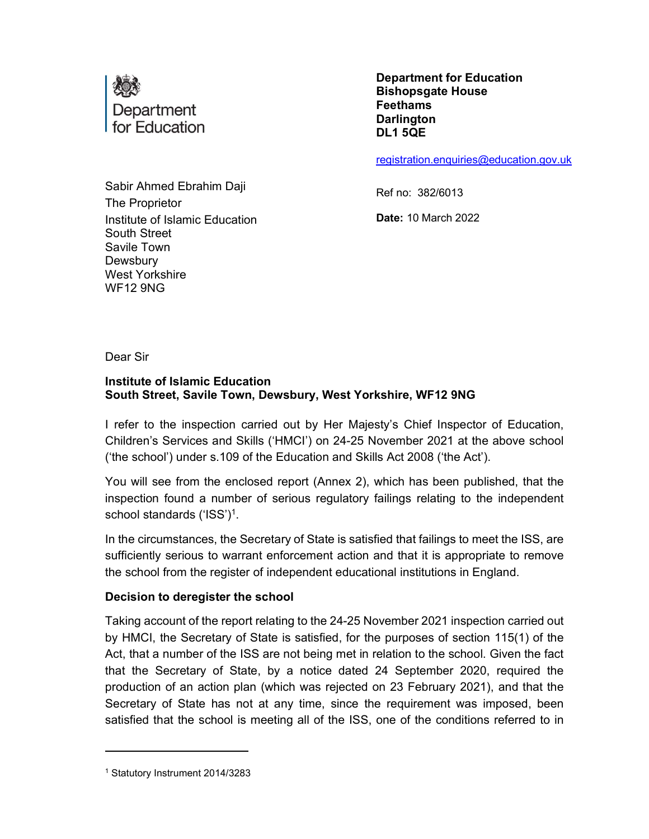

Sabir Ahmed Ebrahim Daji The Proprietor Institute of Islamic Education South Street Savile Town **Dewsbury** West Yorkshire WF12 9NG

Department for Education Bishopsgate House Feethams **Darlington** DL1 5QE

registration.enquiries@education.gov.uk

Ref no: 382/6013

Date: 10 March 2022

Dear Sir

### Institute of Islamic Education South Street, Savile Town, Dewsbury, West Yorkshire, WF12 9NG

I refer to the inspection carried out by Her Majesty's Chief Inspector of Education, Children's Services and Skills ('HMCI') on 24-25 November 2021 at the above school ('the school') under s.109 of the Education and Skills Act 2008 ('the Act').

You will see from the enclosed report (Annex 2), which has been published, that the inspection found a number of serious regulatory failings relating to the independent school standards ('ISS')<sup>1</sup> .

In the circumstances, the Secretary of State is satisfied that failings to meet the ISS, are sufficiently serious to warrant enforcement action and that it is appropriate to remove the school from the register of independent educational institutions in England.

#### Decision to deregister the school

Taking account of the report relating to the 24-25 November 2021 inspection carried out by HMCI, the Secretary of State is satisfied, for the purposes of section 115(1) of the Act, that a number of the ISS are not being met in relation to the school. Given the fact that the Secretary of State, by a notice dated 24 September 2020, required the production of an action plan (which was rejected on 23 February 2021), and that the Secretary of State has not at any time, since the requirement was imposed, been satisfied that the school is meeting all of the ISS, one of the conditions referred to in

<sup>1</sup> Statutory Instrument 2014/3283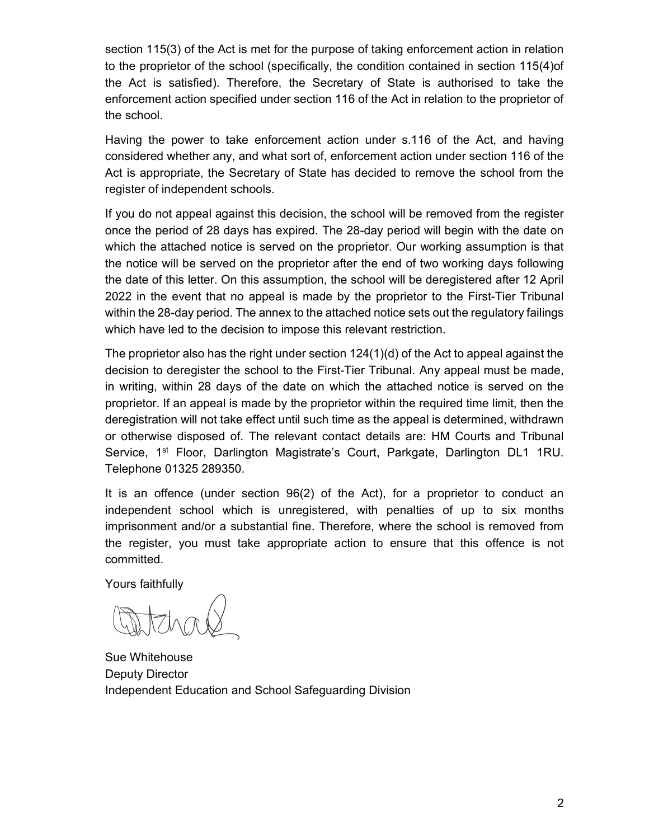section 115(3) of the Act is met for the purpose of taking enforcement action in relation to the proprietor of the school (specifically, the condition contained in section 115(4)of the Act is satisfied). Therefore, the Secretary of State is authorised to take the enforcement action specified under section 116 of the Act in relation to the proprietor of the school.

Having the power to take enforcement action under s.116 of the Act, and having considered whether any, and what sort of, enforcement action under section 116 of the Act is appropriate, the Secretary of State has decided to remove the school from the register of independent schools.

If you do not appeal against this decision, the school will be removed from the register once the period of 28 days has expired. The 28-day period will begin with the date on which the attached notice is served on the proprietor. Our working assumption is that the notice will be served on the proprietor after the end of two working days following the date of this letter. On this assumption, the school will be deregistered after 12 April 2022 in the event that no appeal is made by the proprietor to the First-Tier Tribunal within the 28-day period. The annex to the attached notice sets out the regulatory failings which have led to the decision to impose this relevant restriction.

The proprietor also has the right under section 124(1)(d) of the Act to appeal against the decision to deregister the school to the First-Tier Tribunal. Any appeal must be made, in writing, within 28 days of the date on which the attached notice is served on the proprietor. If an appeal is made by the proprietor within the required time limit, then the deregistration will not take effect until such time as the appeal is determined, withdrawn or otherwise disposed of. The relevant contact details are: HM Courts and Tribunal Service, 1<sup>st</sup> Floor, Darlington Magistrate's Court, Parkgate, Darlington DL1 1RU. Telephone 01325 289350.

It is an offence (under section 96(2) of the Act), for a proprietor to conduct an independent school which is unregistered, with penalties of up to six months imprisonment and/or a substantial fine. Therefore, where the school is removed from the register, you must take appropriate action to ensure that this offence is not committed.

Yours faithfully

Sue Whitehouse Deputy Director Independent Education and School Safeguarding Division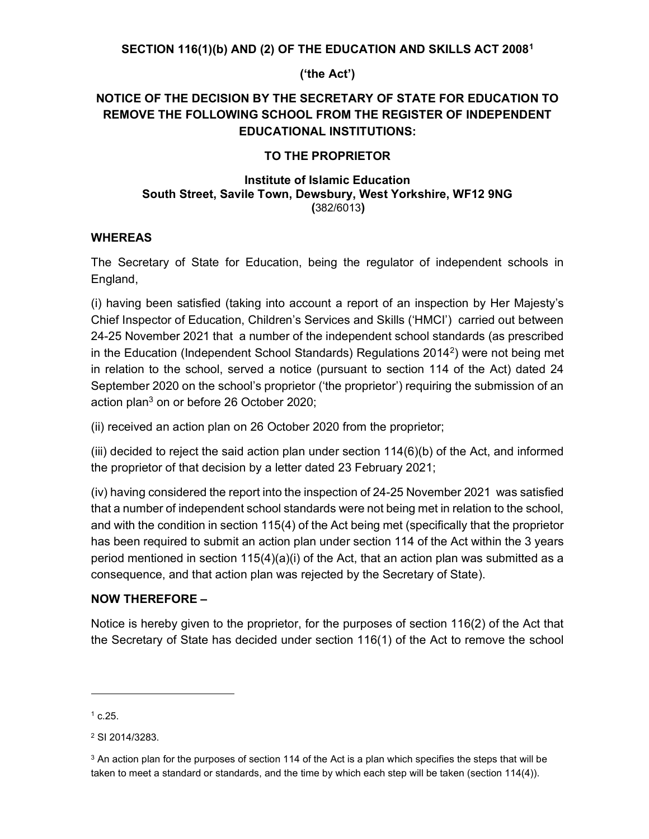### SECTION 116(1)(b) AND (2) OF THE EDUCATION AND SKILLS ACT 2008<sup>1</sup>

### ('the Act')

# NOTICE OF THE DECISION BY THE SECRETARY OF STATE FOR EDUCATION TO REMOVE THE FOLLOWING SCHOOL FROM THE REGISTER OF INDEPENDENT EDUCATIONAL INSTITUTIONS:

#### TO THE PROPRIETOR

#### Institute of Islamic Education South Street, Savile Town, Dewsbury, West Yorkshire, WF12 9NG (382/6013)

#### WHEREAS

The Secretary of State for Education, being the regulator of independent schools in England,

(i) having been satisfied (taking into account a report of an inspection by Her Majesty's Chief Inspector of Education, Children's Services and Skills ('HMCI') carried out between 24-25 November 2021 that a number of the independent school standards (as prescribed in the Education (Independent School Standards) Regulations 2014<sup>2</sup>) were not being met in relation to the school, served a notice (pursuant to section 114 of the Act) dated 24 September 2020 on the school's proprietor ('the proprietor') requiring the submission of an action plan<sup>3</sup> on or before 26 October 2020;

(ii) received an action plan on 26 October 2020 from the proprietor;

(iii) decided to reject the said action plan under section  $114(6)(b)$  of the Act, and informed the proprietor of that decision by a letter dated 23 February 2021;

(iv) having considered the report into the inspection of 24-25 November 2021 was satisfied that a number of independent school standards were not being met in relation to the school, and with the condition in section 115(4) of the Act being met (specifically that the proprietor has been required to submit an action plan under section 114 of the Act within the 3 years period mentioned in section  $115(4)(a)(i)$  of the Act, that an action plan was submitted as a consequence, and that action plan was rejected by the Secretary of State).

### NOW THEREFORE –

Notice is hereby given to the proprietor, for the purposes of section 116(2) of the Act that the Secretary of State has decided under section 116(1) of the Act to remove the school

 $^1$  c.25.

<sup>2</sup> SI 2014/3283.

 $\rm{^3}$  An action plan for the purposes of section 114 of the Act is a plan which specifies the steps that will be taken to meet a standard or standards, and the time by which each step will be taken (section 114(4)).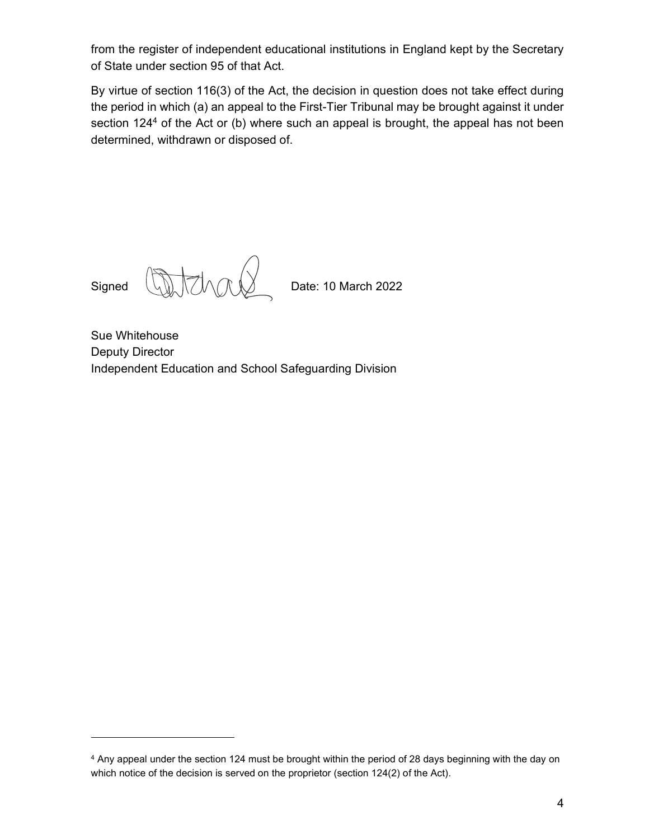from the register of independent educational institutions in England kept by the Secretary of State under section 95 of that Act.

By virtue of section 116(3) of the Act, the decision in question does not take effect during the period in which (a) an appeal to the First-Tier Tribunal may be brought against it under section 124<sup>4</sup> of the Act or (b) where such an appeal is brought, the appeal has not been determined, withdrawn or disposed of.

Signed **Anti-Anti-Anti-April 10 March 2022** 

Sue Whitehouse Deputy Director Independent Education and School Safeguarding Division

<sup>4</sup> Any appeal under the section 124 must be brought within the period of 28 days beginning with the day on which notice of the decision is served on the proprietor (section 124(2) of the Act).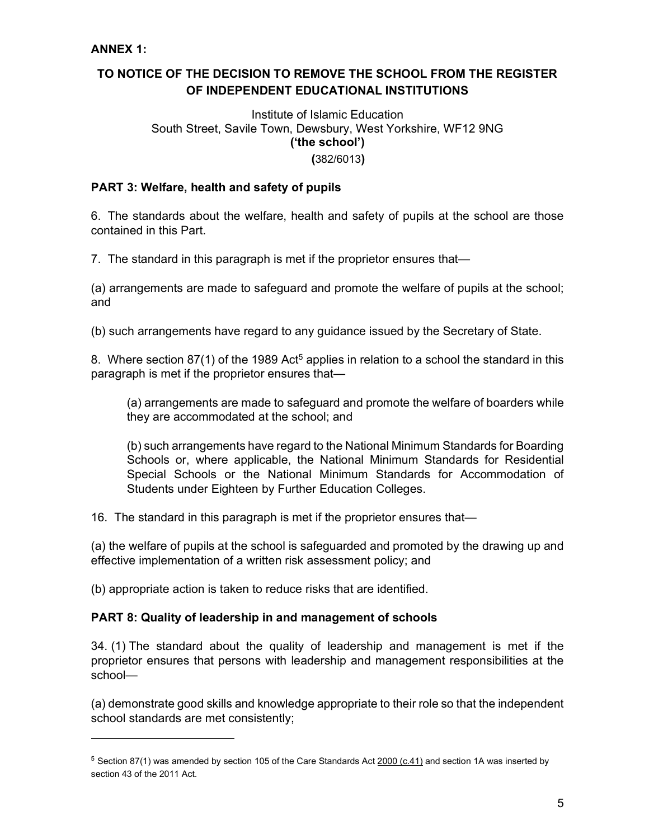# TO NOTICE OF THE DECISION TO REMOVE THE SCHOOL FROM THE REGISTER OF INDEPENDENT EDUCATIONAL INSTITUTIONS

# Institute of Islamic Education South Street, Savile Town, Dewsbury, West Yorkshire, WF12 9NG ('the school')

(382/6013)

### PART 3: Welfare, health and safety of pupils

6. The standards about the welfare, health and safety of pupils at the school are those contained in this Part.

7. The standard in this paragraph is met if the proprietor ensures that—

(a) arrangements are made to safeguard and promote the welfare of pupils at the school; and

(b) such arrangements have regard to any guidance issued by the Secretary of State.

8. Where section 87(1) of the 1989 Act<sup>5</sup> applies in relation to a school the standard in this paragraph is met if the proprietor ensures that—

(a) arrangements are made to safeguard and promote the welfare of boarders while they are accommodated at the school; and

(b) such arrangements have regard to the National Minimum Standards for Boarding Schools or, where applicable, the National Minimum Standards for Residential Special Schools or the National Minimum Standards for Accommodation of Students under Eighteen by Further Education Colleges.

16. The standard in this paragraph is met if the proprietor ensures that—

(a) the welfare of pupils at the school is safeguarded and promoted by the drawing up and effective implementation of a written risk assessment policy; and

(b) appropriate action is taken to reduce risks that are identified.

### PART 8: Quality of leadership in and management of schools

34. (1) The standard about the quality of leadership and management is met if the proprietor ensures that persons with leadership and management responsibilities at the school—

(a) demonstrate good skills and knowledge appropriate to their role so that the independent school standards are met consistently;

 $5$  Section 87(1) was amended by section 105 of the Care Standards Act 2000 (c.41) and section 1A was inserted by section 43 of the 2011 Act.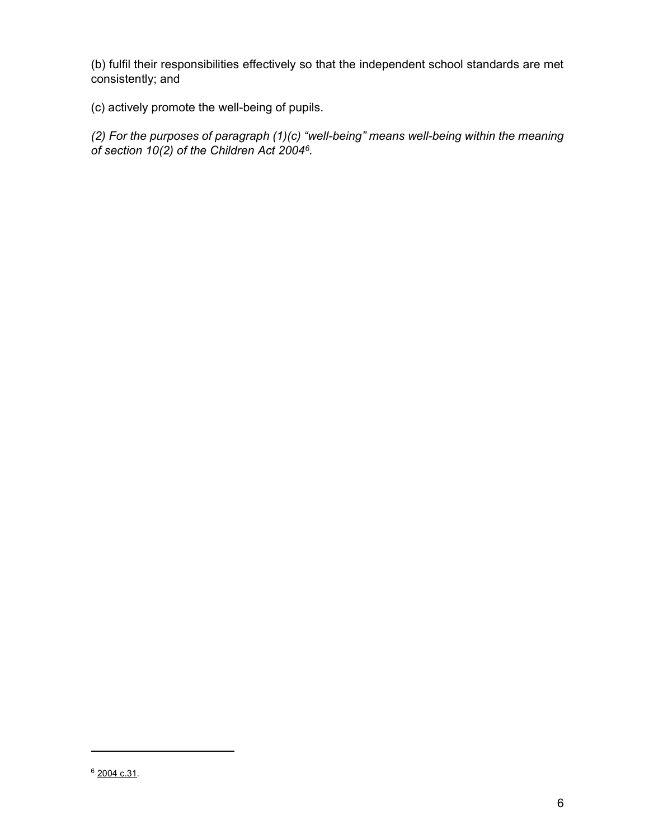(b) fulfil their responsibilities effectively so that the independent school standards are met consistently; and

(c) actively promote the well-being of pupils.

(2) For the purposes of paragraph (1)(c) "well-being" means well-being within the meaning of section 10(2) of the Children Act 2004<sup>6</sup>.

<sup>6</sup> 2004 c.31.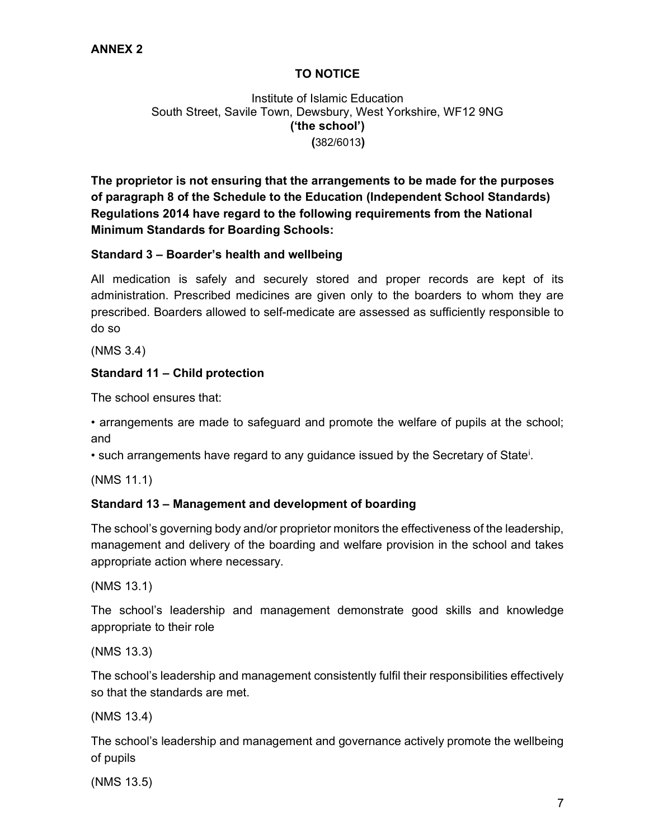# TO NOTICE

Institute of Islamic Education South Street, Savile Town, Dewsbury, West Yorkshire, WF12 9NG ('the school') (382/6013)

The proprietor is not ensuring that the arrangements to be made for the purposes of paragraph 8 of the Schedule to the Education (Independent School Standards) Regulations 2014 have regard to the following requirements from the National Minimum Standards for Boarding Schools:

### Standard 3 – Boarder's health and wellbeing

All medication is safely and securely stored and proper records are kept of its administration. Prescribed medicines are given only to the boarders to whom they are prescribed. Boarders allowed to self-medicate are assessed as sufficiently responsible to do so

(NMS 3.4)

# Standard 11 – Child protection

The school ensures that:

• arrangements are made to safeguard and promote the welfare of pupils at the school; and

• such arrangements have regard to any guidance issued by the Secretary of State<sup>i</sup>.

(NMS 11.1)

# Standard 13 – Management and development of boarding

The school's governing body and/or proprietor monitors the effectiveness of the leadership, management and delivery of the boarding and welfare provision in the school and takes appropriate action where necessary.

(NMS 13.1)

The school's leadership and management demonstrate good skills and knowledge appropriate to their role

(NMS 13.3)

The school's leadership and management consistently fulfil their responsibilities effectively so that the standards are met.

(NMS 13.4)

The school's leadership and management and governance actively promote the wellbeing of pupils

(NMS 13.5)